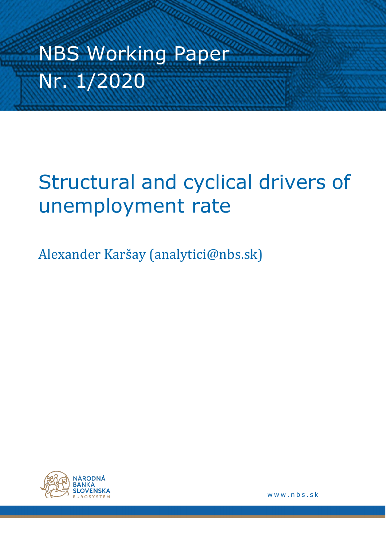# NBS Working Paper Nr. 1/2020

## Structural and cyclical drivers of unemployment rate

Alexander Karšay (analytici@nbs.sk)



www.nbs.sk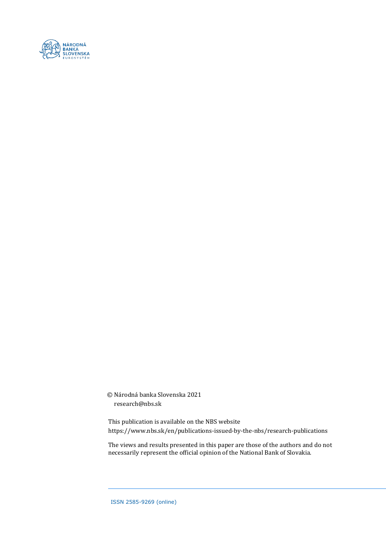

© Národná banka Slovenska 2021 research@nbs.sk

This publication is available on the NBS website https://www.nbs.sk/en/publications-issued-by-the-nbs/research-publications

The views and results presented in this paper are those of the authors and do not necessarily represent the official opinion of the National Bank of Slovakia.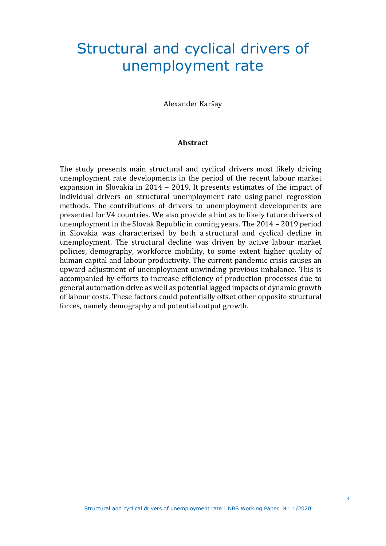## Structural and cyclical drivers of unemployment rate

Alexander Karšay

#### **Abstract**

The study presents main structural and cyclical drivers most likely driving unemployment rate developments in the period of the recent labour market expansion in Slovakia in 2014 – 2019. It presents estimates of the impact of individual drivers on structural unemployment rate using panel regression methods. The contributions of drivers to unemployment developments are presented for V4 countries. We also provide a hint as to likely future drivers of unemployment in the Slovak Republic in coming years. The 2014 – 2019 period in Slovakia was characterised by both a structural and cyclical decline in unemployment. The structural decline was driven by active labour market policies, demography, workforce mobility, to some extent higher quality of human capital and labour productivity. The current pandemic crisis causes an upward adjustment of unemployment unwinding previous imbalance. This is accompanied by efforts to increase efficiency of production processes due to general automation drive as well as potential lagged impacts of dynamic growth of labour costs. These factors could potentially offset other opposite structural forces, namely demography and potential output growth.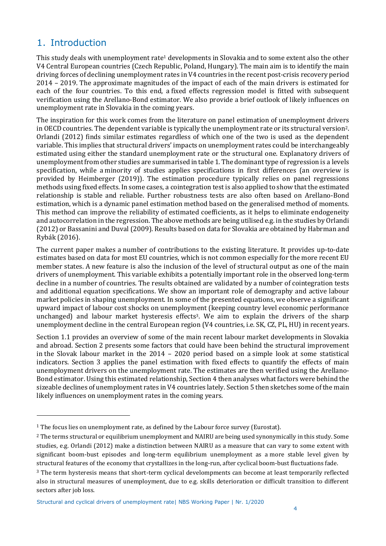## 1. Introduction

This study deals with unemployment rate<sup>1</sup> developments in Slovakia and to some extent also the other V4 Central European countries (Czech Republic, Poland, Hungary). The main aim is to identify the main driving forces of declining unemployment rates in V4 countries in the recent post-crisis recovery period 2014 – 2019. The approximate magnitudes of the impact of each of the main drivers is estimated for each of the four countries. To this end, a fixed effects regression model is fitted with subsequent verification using the Arellano-Bond estimator. We also provide a brief outlook of likely influences on unemployment rate in Slovakia in the coming years.

The inspiration for this work comes from the literature on panel estimation of unemployment drivers in OECD countries. The dependent variable is typically the unemployment rate or its structural version2. Orlandi (2012) finds similar estimates regardless of which one of the two is used as the dependent variable. This implies that structural drivers' impacts on unemployment rates could be interchangeably estimated using either the standard unemployment rate or the structural one. Explanatory drivers of unemployment from other studies are summarised in table 1. The dominant type of regression is a levels specification, while a minority of studies applies specifications in first differences (an overview is provided by Heimberger (2019)). The estimation procedure typically relies on panel regressions methods using fixed effects. In some cases, a cointegration test is also applied to show that the estimated relationship is stable and reliable. Further robustness tests are also often based on Arellano-Bond estimation, which is a dynamic panel estimation method based on the generalised method of moments. This method can improve the reliability of estimated coefficients, as it helps to eliminate endogeneity and autocorrelation in the regression. The above methods are being utilised e.g. in the studies by Orlandi (2012) or Bassanini and Duval (2009). Results based on data for Slovakia are obtained by Habrman and Rybák (2016).

The current paper makes a number of contributions to the existing literature. It provides up-to-date estimates based on data for most EU countries, which is not common especially for the more recent EU member states. A new feature is also the inclusion of the level of structural output as one of the main drivers of unemployment. This variable exhibits a potentially important role in the observed long-term decline in a number of countries. The results obtained are validated by a number of cointegration tests and additional equation specifications. We show an important role of demography and active labour market policies in shaping unemployment. In some of the presented equations, we observe a significant upward impact of labour cost shocks on unemployment (keeping country level economic performance unchanged) and labour market hysteresis effects3. We aim to explain the drivers of the sharp unemployment decline in the central European region (V4 countries, i.e. SK, CZ, PL, HU) in recent years.

Section 1.1 provides an overview of some of the main recent labour market developments in Slovakia and abroad. Section 2 presents some factors that could have been behind the structural improvement in the Slovak labour market in the 2014 – 2020 period based on a simple look at some statistical indicators. Section 3 applies the panel estimation with fixed effects to quantify the effects of main unemployment drivers on the unemployment rate. The estimates are then verified using the Arellano-Bond estimator. Using this estimated relationship, Section 4 then analyses what factors were behind the sizeable declines of unemployment rates in V4 countries lately. Section 5 then sketches some of the main likely influences on unemployment rates in the coming years.

<sup>&</sup>lt;sup>1</sup> The focus lies on unemployment rate, as defined by the Labour force survey (Eurostat).

<sup>2</sup> The terms structural or equilibrium unemployment and NAIRU are being used synonymically in this study. Some studies, e.g. Orlandi (2012) make a distinction between NAIRU as a measure that can vary to some extent with significant boom-bust episodes and long-term equilibrium unemployment as a more stable level given by structural features of the economy that crystallizes in the long-run, after cyclical boom-bust fluctuations fade.

<sup>3</sup> The term hysteresis means that short-term cyclical develompments can become at least temporarily reflected also in structural measures of unemployment, due to e.g. skills deterioration or difficult transition to different sectors after job loss.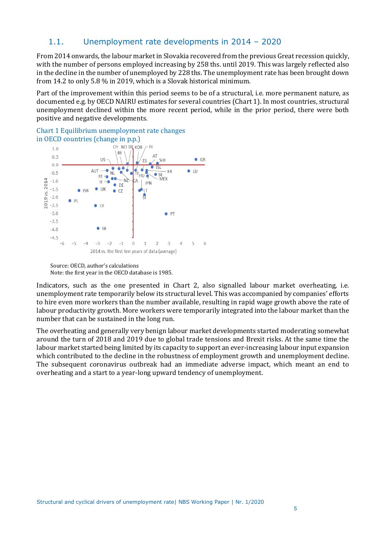## 1.1. Unemployment rate developments in 2014 – 2020

From 2014 onwards, the labour market in Slovakia recovered from the previous Great recession quickly, with the number of persons employed increasing by 258 ths. until 2019. This was largely reflected also in the decline in the number of unemployed by 228 ths. The unemployment rate has been brought down from 14.2 to only 5.8 % in 2019, which is a Slovak historical minimum.

Part of the improvement within this period seems to be of a structural, i.e. more permanent nature, as documented e.g. by OECD NAIRU estimates for several countries (Chart 1). In most countries, structural unemployment declined within the more recent period, while in the prior period, there were both positive and negative developments.

Chart 1 Equilibrium unemployment rate changes in OECD countries (change in p.p.)



Source: OECD, author's calculations Note: the first year in the OECD database is 1985.

Indicators, such as the one presented in Chart 2, also signalled labour market overheating, i.e. unemployment rate temporarily below its structural level. This was accompanied by companies' efforts to hire even more workers than the number available, resulting in rapid wage growth above the rate of labour productivity growth. More workers were temporarily integrated into the labour market than the number that can be sustained in the long run.

The overheating and generally very benign labour market developments started moderating somewhat around the turn of 2018 and 2019 due to global trade tensions and Brexit risks. At the same time the labour market started being limited by its capacity to support an ever-increasing labour input expansion which contributed to the decline in the robustness of employment growth and unemployment decline. The subsequent coronavirus outbreak had an immediate adverse impact, which meant an end to overheating and a start to a year-long upward tendency of unemployment.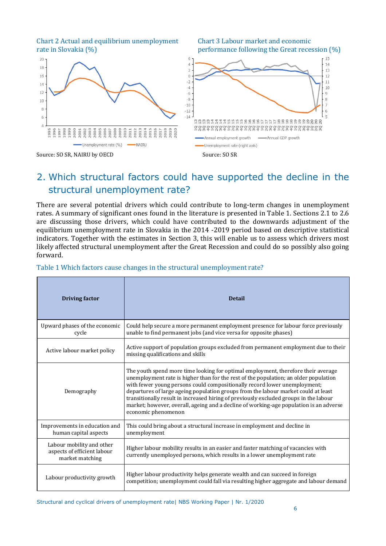Chart 2 Actual and equilibrium unemployment Chart 3 Labour market and economic

rate in Slovakia (%) performance following the Great recession (%)



## 2. Which structural factors could have supported the decline in the structural unemployment rate?

There are several potential drivers which could contribute to long-term changes in unemployment rates. A summary of significant ones found in the literature is presented in Table 1. Sections 2.1 to 2.6 are discussing those drivers, which could have contributed to the downwards adjustment of the equilibrium unemployment rate in Slovakia in the 2014 -2019 period based on descriptive statistical indicators. Together with the estimates in Section 3, this will enable us to assess which drivers most likely affected structural unemployment after the Great Recession and could do so possibly also going forward.

| <b>Driving factor</b>                                                       | <b>Detail</b>                                                                                                                                                                                                                                                                                                                                                                                                                                                                                                                                          |
|-----------------------------------------------------------------------------|--------------------------------------------------------------------------------------------------------------------------------------------------------------------------------------------------------------------------------------------------------------------------------------------------------------------------------------------------------------------------------------------------------------------------------------------------------------------------------------------------------------------------------------------------------|
| Upward phases of the economic<br>cycle                                      | Could help secure a more permanent employment presence for labour force previously<br>unable to find permanent jobs (and vice versa for opposite phases)                                                                                                                                                                                                                                                                                                                                                                                               |
| Active labour market policy                                                 | Active support of population groups excluded from permanent employment due to their<br>missing qualifications and skills                                                                                                                                                                                                                                                                                                                                                                                                                               |
| Demography                                                                  | The youth spend more time looking for optimal employment, therefore their average<br>unemployment rate is higher than for the rest of the population; an older population<br>with fewer young persons could compositionally record lower unemployment;<br>departures of large ageing population groups from the labour market could at least<br>transitionally result in increased hiring of previously excluded groups in the labour<br>market; however, overall, ageing and a decline of working-age population is an adverse<br>economic phenomenon |
| Improvements in education and<br>human capital aspects                      | This could bring about a structural increase in employment and decline in<br>unemployment                                                                                                                                                                                                                                                                                                                                                                                                                                                              |
| Labour mobility and other<br>aspects of efficient labour<br>market matching | Higher labour mobility results in an easier and faster matching of vacancies with<br>currently unemployed persons, which results in a lower unemployment rate                                                                                                                                                                                                                                                                                                                                                                                          |
| Labour productivity growth                                                  | Higher labour productivity helps generate wealth and can succeed in foreign<br>competition; unemployment could fall via resulting higher aggregate and labour demand                                                                                                                                                                                                                                                                                                                                                                                   |

#### Table 1 Which factors cause changes in the structural unemployment rate?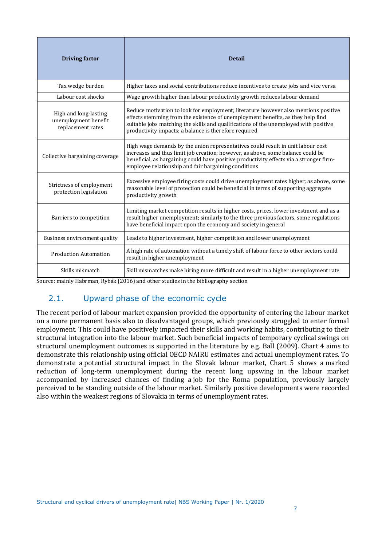| <b>Driving factor</b>                                              | <b>Detail</b>                                                                                                                                                                                                                                                                                                           |
|--------------------------------------------------------------------|-------------------------------------------------------------------------------------------------------------------------------------------------------------------------------------------------------------------------------------------------------------------------------------------------------------------------|
| Tax wedge burden                                                   | Higher taxes and social contributions reduce incentives to create jobs and vice versa                                                                                                                                                                                                                                   |
| Labour cost shocks                                                 | Wage growth higher than labour productivity growth reduces labour demand                                                                                                                                                                                                                                                |
| High and long-lasting<br>unemployment benefit<br>replacement rates | Reduce motivation to look for employment; literature however also mentions positive<br>effects stemming from the existence of unemployment benefits, as they help find<br>suitable jobs matching the skills and qualifications of the unemployed with positive<br>productivity impacts; a balance is therefore required |
| Collective bargaining coverage                                     | High wage demands by the union representatives could result in unit labour cost<br>increases and thus limit job creation; however, as above, some balance could be<br>beneficial, as bargaining could have positive productivity effects via a stronger firm-<br>employee relationship and fair bargaining conditions   |
| Strictness of employment<br>protection legislation                 | Excessive employee firing costs could drive unemployment rates higher; as above, some<br>reasonable level of protection could be beneficial in terms of supporting aggregate<br>productivity growth                                                                                                                     |
| Barriers to competition                                            | Limiting market competition results in higher costs, prices, lower investment and as a<br>result higher unemployment; similarly to the three previous factors, some regulations<br>have beneficial impact upon the economy and society in general                                                                       |
| Business environment quality                                       | Leads to higher investment, higher competition and lower unemployment                                                                                                                                                                                                                                                   |
| <b>Production Automation</b>                                       | A high rate of automation without a timely shift of labour force to other sectors could<br>result in higher unemployment                                                                                                                                                                                                |
| Skills mismatch                                                    | Skill mismatches make hiring more difficult and result in a higher unemployment rate                                                                                                                                                                                                                                    |

Source: mainly Habrman, Rybák (2016) and other studies in the bibliography section

## 2.1. Upward phase of the economic cycle

The recent period of labour market expansion provided the opportunity of entering the labour market on a more permanent basis also to disadvantaged groups, which previously struggled to enter formal employment. This could have positively impacted their skills and working habits, contributing to their structural integration into the labour market. Such beneficial impacts of temporary cyclical swings on structural unemployment outcomes is supported in the literature by e.g. Ball (2009). Chart 4 aims to demonstrate this relationship using official OECD NAIRU estimates and actual unemployment rates. To demonstrate a potential structural impact in the Slovak labour market, Chart 5 shows a marked reduction of long-term unemployment during the recent long upswing in the labour market accompanied by increased chances of finding a job for the Roma population, previously largely perceived to be standing outside of the labour market. Similarly positive developments were recorded also within the weakest regions of Slovakia in terms of unemployment rates.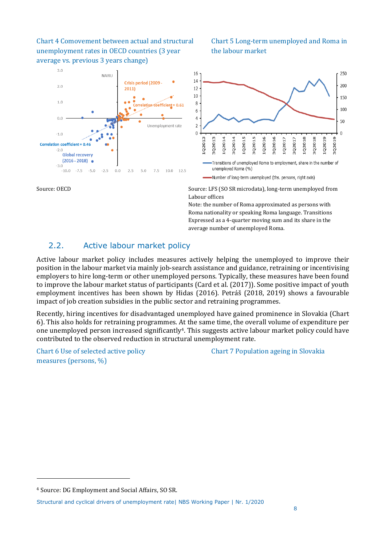Chart 4 Comovement between actual and structural Chart 5 Long-term unemployed and Roma in unemployment rates in OECD countries (3 year the labour market average vs. previous 3 years change)

#### $3.0$ **NAIRU** Crisis period (2009 - $2.0$  $2011$  $\bullet$  $1.0$ Correlation coefficient = 0.61  $0.0$ Unemployment rate  $-1.0$ Correlation coefficient = 0.46  $-2.0$ **Global recovery**  $(2016 - 2018)$  $-3.0$  $-10.0 -7.5 -5.0$  $-2.5$  $0.0$  $2.5$  $5.0$ 7.5 10.0 12.5



Source: LFS (SO SR microdata), long-term unemployed from Labour offices

> Note: the number of Roma approximated as persons with Roma nationality or speaking Roma language. Transitions Expressed as a 4-quarter moving sum and its share in the average number of unemployed Roma.

## 2.2. Active labour market policy

Active labour market policy includes measures actively helping the unemployed to improve their position in the labour market via mainly job-search assistance and guidance, retraining or incentivising employers to hire long-term or other unemployed persons. Typically, these measures have been found to improve the labour market status of participants (Card et al. (2017)). Some positive impact of youth employment incentives has been shown by Hidas (2016). Petráš (2018, 2019) shows a favourable impact of job creation subsidies in the public sector and retraining programmes.

Recently, hiring incentives for disadvantaged unemployed have gained prominence in Slovakia (Chart 6). This also holds for retraining programmes. At the same time, the overall volume of expenditure per one unemployed person increased significantly4. This suggests active labour market policy could have contributed to the observed reduction in structural unemployment rate.

measures (persons, %)

Chart 6 Use of selected active policy Chart 7 Population ageing in Slovakia

<sup>4</sup> Source: DG Employment and Social Affairs, SO SR.

Structural and cyclical drivers of unemployment rate| NBS Working Paper | Nr. 1/2020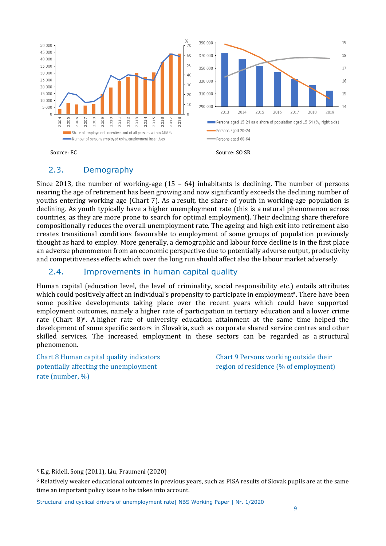

## 2.3. Demography

Since 2013, the number of working-age  $(15 - 64)$  inhabitants is declining. The number of persons nearing the age of retirement has been growing and now significantly exceeds the declining number of youths entering working age (Chart 7). As a result, the share of youth in working-age population is declining. As youth typically have a higher unemployment rate (this is a natural phenomenon across countries, as they are more prone to search for optimal employment). Their declining share therefore compositionally reduces the overall unemployment rate. The ageing and high exit into retirement also creates transitional conditions favourable to employment of some groups of population previously thought as hard to employ. More generally, a demographic and labour force decline is in the first place an adverse phenomenon from an economic perspective due to potentially adverse output, productivity and competitiveness effects which over the long run should affect also the labour market adversely.

## 2.4. Improvements in human capital quality

Human capital (education level, the level of criminality, social responsibility etc.) entails attributes which could positively affect an individual's propensity to participate in employment<sup>5</sup>. There have been some positive developments taking place over the recent years which could have supported employment outcomes, namely a higher rate of participation in tertiary education and a lower crime rate (Chart 8) $6$ . A higher rate of university education attainment at the same time helped the development of some specific sectors in Slovakia, such as corporate shared service centres and other skilled services. The increased employment in these sectors can be regarded as a structural phenomenon.

Chart 8 Human capital quality indicators Chart 9 Persons working outside their potentially affecting the unemployment region of residence (% of employment) rate (number, %)

<sup>5</sup> E.g. Ridell, Song (2011), Liu, Fraumeni (2020)

<sup>6</sup> Relatively weaker educational outcomes in previous years, such as PISA results of Slovak pupils are at the same time an important policy issue to be taken into account.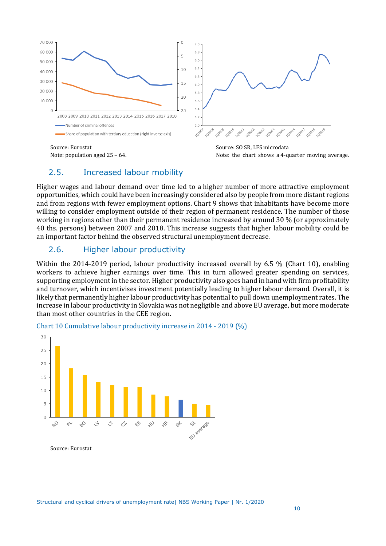



## 2.5. Increased labour mobility

Higher wages and labour demand over time led to a higher number of more attractive employment opportunities, which could have been increasingly considered also by people from more distant regions and from regions with fewer employment options. Chart 9 shows that inhabitants have become more willing to consider employment outside of their region of permanent residence. The number of those working in regions other than their permanent residence increased by around 30 % (or approximately 40 ths. persons) between 2007 and 2018. This increase suggests that higher labour mobility could be an important factor behind the observed structural unemployment decrease.

## 2.6. Higher labour productivity

Within the 2014-2019 period, labour productivity increased overall by 6.5 % (Chart 10), enabling workers to achieve higher earnings over time. This in turn allowed greater spending on services, supporting employment in the sector. Higher productivity also goes hand in hand with firm profitability and turnover, which incentivises investment potentially leading to higher labour demand. Overall, it is likely that permanently higher labour productivity has potential to pull down unemployment rates. The increase in labour productivity in Slovakia was not negligible and above EU average, but more moderate than most other countries in the CEE region.



#### Chart 10 Cumulative labour productivity increase in 2014 - 2019 (%)

Source: Eurostat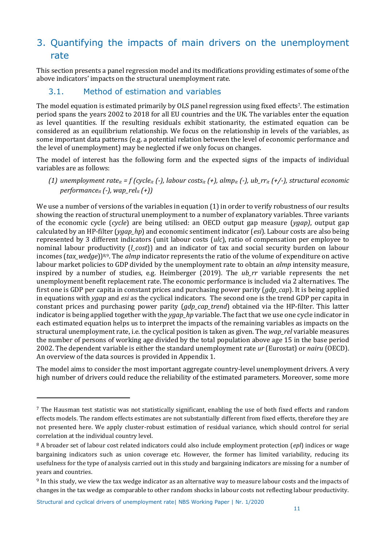## 3. Quantifying the impacts of main drivers on the unemployment rate

This section presents a panel regression model and its modifications providing estimates of some of the above indicators' impacts on the structural unemployment rate.

## 3.1. Method of estimation and variables

The model equation is estimated primarily by OLS panel regression using fixed effects<sup>7</sup>. The estimation period spans the years 2002 to 2018 for all EU countries and the UK. The variables enter the equation as level quantities. If the resulting residuals exhibit stationarity, the estimated equation can be considered as an equilibrium relationship. We focus on the relationship in levels of the variables, as some important data patterns (e.g. a potential relation between the level of economic performance and the level of unemployment) may be neglected if we only focus on changes.

The model of interest has the following form and the expected signs of the impacts of individual variables are as follows:

*(1) unemployment rateit = f (cycleit (-), labour costsit (+), almpit (-), ub\_rrit (+/-), structural economic performanceit (-), wap\_relit (+))*

We use a number of versions of the variables in equation (1) in order to verify robustness of our results showing the reaction of structural unemployment to a number of explanatory variables. Three variants of the economic cycle (*cycle*) are being utilised: an OECD output gap measure (*ygap)*, output gap calculated by an HP-filter (*ygap\_hp*) and economic sentiment indicator (*esi*). Labour costs are also being represented by 3 different indicators (unit labour costs (*ulc*), ratio of compensation per employee to nominal labour productivity (*l\_cost*)) and an indicator of tax and social security burden on labour incomes (*tax\_wedge*))8,9. The *almp* indicator represents the ratio of the volume of expenditure on active labour market policies to GDP divided by the unemployment rate to obtain an *almp* intensity measure, inspired by a number of studies, e.g. Heimberger (2019)*.* The *ub\_rr* variable represents the net unemployment benefit replacement rate. The economic performance is included via 2 alternatives. The first one is GDP per capita in constant prices and purchasing power parity (*gdp\_cap*). It is being applied in equations with *ygap* and *esi* as the cyclical indicators. The second one is the trend GDP per capita in constant prices and purchasing power parity (*gdp\_cap\_trend*) obtained via the HP-filter. This latter indicator is being applied together with the *ygap\_hp* variable. The fact that we use one cycle indicator in each estimated equation helps us to interpret the impacts of the remaining variables as impacts on the structural unemployment rate, i.e. the cyclical position is taken as given. The *wap\_rel* variable measures the number of persons of working age divided by the total population above age 15 in the base period 2002. The dependent variable is either the standard unemployment rate *ur* (Eurostat) or *nairu* (OECD). An overview of the data sources is provided in Appendix 1.

The model aims to consider the most important aggregate country-level unemployment drivers. A very high number of drivers could reduce the reliability of the estimated parameters. Moreover, some more

<sup>7</sup> The Hausman test statistic was not statistically significant, enabling the use of both fixed effects and random effects models. The random effects estimates are not substantially different from fixed effects, therefore they are not presented here. We apply cluster-robust estimation of residual variance, which should control for serial correlation at the individual country level.

<sup>8</sup> A broader set of labour cost related indicators could also include employment protection (*epl*) indices or wage bargaining indicators such as union coverage etc. However, the former has limited variability, reducing its usefulness for the type of analysis carried out in this study and bargaining indicators are missing for a number of years and countries.

<sup>9</sup> In this study, we view the tax wedge indicator as an alternative way to measure labour costs and the impacts of changes in the tax wedge as comparable to other random shocks in labour costs not reflecting labour productivity.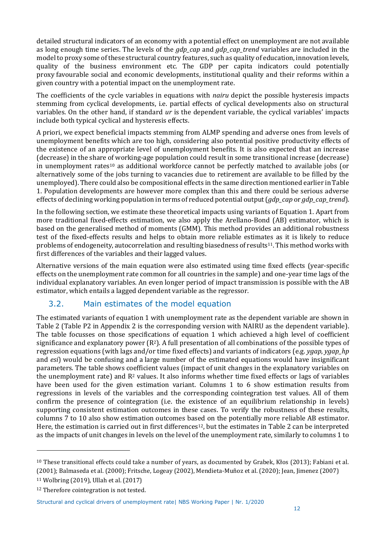detailed structural indicators of an economy with a potential effect on unemployment are not available as long enough time series. The levels of the *gdp\_cap* and *gdp\_cap\_trend* variables are included in the model to proxy some of these structural country features, such as quality of education, innovation levels, quality of the business environment etc. The GDP per capita indicators could potentially proxy favourable social and economic developments, institutional quality and their reforms within a given country with a potential impact on the unemployment rate.

The coefficients of the cycle variables in equations with *nairu* depict the possible hysteresis impacts stemming from cyclical developments, i.e. partial effects of cyclical developments also on structural variables. On the other hand, if standard *ur* is the dependent variable, the cyclical variables' impacts include both typical cyclical and hysteresis effects.

A priori, we expect beneficial impacts stemming from ALMP spending and adverse ones from levels of unemployment benefits which are too high, considering also potential positive productivity effects of the existence of an appropriate level of unemployment benefits. It is also expected that an increase (decrease) in the share of working-age population could result in some transitional increase (decrease) in unemployment rates<sup>10</sup> as additional workforce cannot be perfectly matched to available jobs (or alternatively some of the jobs turning to vacancies due to retirement are available to be filled by the unemployed). There could also be compositional effects in the same direction mentioned earlier in Table 1. Population developments are however more complex than this and there could be serious adverse effects of declining working population in terms of reduced potential output (*gdp\_cap* or *gdp\_cap\_trend*).

In the following section, we estimate these theoretical impacts using variants of Equation 1. Apart from more traditional fixed-effects estimation, we also apply the Arellano-Bond (AB) estimator, which is based on the generalised method of moments (GMM). This method provides an additional robustness test of the fixed-effects results and helps to obtain more reliable estimates as it is likely to reduce problems of endogeneity, autocorrelation and resulting biasedness of results11. This method works with first differences of the variables and their lagged values.

Alternative versions of the main equation were also estimated using time fixed effects (year-specific effects on the unemployment rate common for all countries in the sample) and one-year time lags of the individual explanatory variables. An even longer period of impact transmission is possible with the AB estimator, which entails a lagged dependent variable as the regressor.

## 3.2. Main estimates of the model equation

The estimated variants of equation 1 with unemployment rate as the dependent variable are shown in Table 2 (Table P2 in Appendix 2 is the corresponding version with NAIRU as the dependent variable). The table focusses on those specifications of equation 1 which achieved a high level of coefficient significance and explanatory power  $(R^2)$ . A full presentation of all combinations of the possible types of regression equations (with lags and/or time fixed effects) and variants of indicators (e.g. *ygap*, *ygap\_hp*  and *esi*) would be confusing and a large number of the estimated equations would have insignificant parameters. The table shows coefficient values (impact of unit changes in the explanatory variables on the unemployment rate) and  $R<sup>2</sup>$  values. It also informs whether time fixed effects or lags of variables have been used for the given estimation variant. Columns 1 to 6 show estimation results from regressions in levels of the variables and the corresponding cointegration test values. All of them confirm the presence of cointegration (i.e. the existence of an equilibrium relationship in levels) supporting consistent estimation outcomes in these cases. To verify the robustness of these results, columns 7 to 10 also show estimation outcomes based on the potentially more reliable AB estimator. Here, the estimation is carried out in first differences<sup>12</sup>, but the estimates in Table 2 can be interpreted as the impacts of unit changes in levels on the level of the unemployment rate, similarly to columns 1 to

<sup>10</sup> These transitional effects could take a number of years, as documented by Grabek, Kłos (2013); Fabiani et al. (2001); Balmaseda et al. (2000); Fritsche, Logeay (2002), Mendieta-Muñoz et al. (2020); Jean, Jimenez (2007)

<sup>11</sup> Wolbring (2019), Ullah et al. (2017)

<sup>&</sup>lt;sup>12</sup> Therefore cointegration is not tested.

Structural and cyclical drivers of unemployment rate| NBS Working Paper | Nr. 1/2020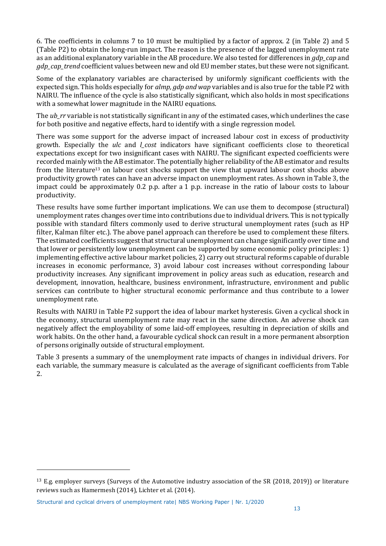6. The coefficients in columns 7 to 10 must be multiplied by a factor of approx. 2 (in Table 2) and 5 (Table P2) to obtain the long-run impact. The reason is the presence of the lagged unemployment rate as an additional explanatory variable in the AB procedure. We also tested for differences in *gdp\_cap* and *gdp\_cap\_trend* coefficient values between new and old EU member states, but these were not significant.

Some of the explanatory variables are characterised by uniformly significant coefficients with the expected sign. This holds especially for *almp, gdp and wap* variables and is also true for the table P2 with NAIRU. The influence of the cycle is also statistically significant, which also holds in most specifications with a somewhat lower magnitude in the NAIRU equations.

The *ub\_rr* variable is not statistically significant in any of the estimated cases, which underlines the case for both positive and negative effects, hard to identify with a single regression model.

There was some support for the adverse impact of increased labour cost in excess of productivity growth. Especially the *ulc* and *l\_cost* indicators have significant coefficients close to theoretical expectations except for two insignificant cases with NAIRU. The significant expected coefficients were recorded mainly with the AB estimator. The potentially higher reliability of the AB estimator and results from the literature<sup>13</sup> on labour cost shocks support the view that upward labour cost shocks above productivity growth rates can have an adverse impact on unemployment rates. As shown in Table 3, the impact could be approximately 0.2 p.p. after a 1 p.p. increase in the ratio of labour costs to labour productivity.

These results have some further important implications. We can use them to decompose (structural) unemployment rates changes over time into contributions due to individual drivers. This is not typically possible with standard filters commonly used to derive structural unemployment rates (such as HP filter, Kalman filter etc.). The above panel approach can therefore be used to complement these filters. The estimated coefficients suggest that structural unemployment can change significantly over time and that lower or persistently low unemployment can be supported by some economic policy principles: 1) implementing effective active labour market policies, 2) carry out structural reforms capable of durable increases in economic performance, 3) avoid labour cost increases without corresponding labour productivity increases. Any significant improvement in policy areas such as education, research and development, innovation, healthcare, business environment, infrastructure, environment and public services can contribute to higher structural economic performance and thus contribute to a lower unemployment rate.

Results with NAIRU in Table P2 support the idea of labour market hysteresis. Given a cyclical shock in the economy, structural unemployment rate may react in the same direction. An adverse shock can negatively affect the employability of some laid-off employees, resulting in depreciation of skills and work habits. On the other hand, a favourable cyclical shock can result in a more permanent absorption of persons originally outside of structural employment.

Table 3 presents a summary of the unemployment rate impacts of changes in individual drivers. For each variable, the summary measure is calculated as the average of significant coefficients from Table 2.

<sup>13</sup> E.g. employer surveys (Surveys of the Automotive industry association of the SR (2018, 2019)) or literature reviews such as Hamermesh (2014), Lichter et al. (2014).

Structural and cyclical drivers of unemployment rate| NBS Working Paper | Nr. 1/2020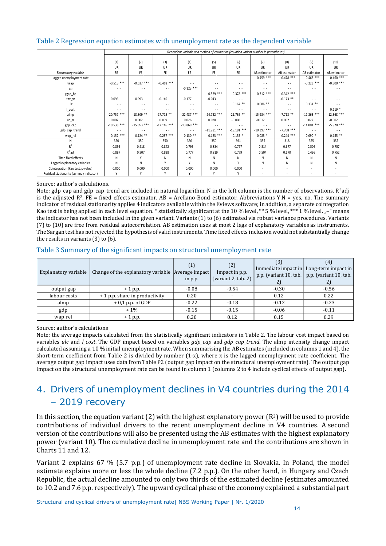#### Table 2 Regression equation estimates with unemployment rate as the dependent variable

|                                          | Dependent variable and method of estimation (equation variant number in parentheses) |               |               |               |               |               |               |                          |               |               |
|------------------------------------------|--------------------------------------------------------------------------------------|---------------|---------------|---------------|---------------|---------------|---------------|--------------------------|---------------|---------------|
|                                          |                                                                                      |               |               |               |               |               |               |                          |               |               |
|                                          | (1)                                                                                  | (2)           | (3)           | (4)           | (5)           | (6)           | (7)           | (8)                      | (9)           | (10)          |
|                                          | UR                                                                                   | UR            | <b>UR</b>     | UR            | UR            | UR            | UR            | UR                       | UR            | UR            |
| <b>Explanatory variable</b>              | FE                                                                                   | FE.           | FE            | <b>FE</b>     | FE.           | FE.           | AB estimator  | AB estimator             | AB estimator  | AB estimator  |
| lagged unemployment rate                 | $\sim$ $\sim$                                                                        | $\sim$ $\sim$ | $\sim$        | $\sim$ $\sim$ | $\sim$        | $\sim$        | $0.459$ ***   | $0.478$ ***              | $0.463$ ***   | $0.460$ ***   |
| ygap                                     | $-0.515$ ***                                                                         | $-0.537$ ***  | $-0.418$ ***  | $\sim$        | $\sim$        | $\sim$        | $\sim$        | $\sim$                   | $-0.223$ ***  | $-0.300$ ***  |
| esi                                      | $\sim$ $\sim$                                                                        | $\sim$        | $\sim$ $\sim$ | $-0.123$ ***  | $\sim$        | $\sim$        | $\sim$ $\sim$ | $\sim$                   | $\sim$        | $\sim$        |
| ygap_hp                                  | $\sim$ $\sim$                                                                        | $ -$          | $\sim$ $\sim$ | $\sim$ $\sim$ | $-0.529$ ***  | $-0.378$ ***  | $-0.312$ ***  | $-0.342$ ***             | $\sim$        | $ -$          |
| tax_w                                    | 0.093                                                                                | 0.093         | $-0.146$      | $-0.177$      | $-0.043$      | $\sim$ $\sim$ | $\sim$        | $-0.173$ **              | $\sim$        | $\sim$        |
| ulc                                      | $\sim$ $\sim$                                                                        | $ -$          | . .           | $\sim$        | $\sim$        | $0.167$ **    | $0.086$ **    | . .                      | $0.134$ **    | $ -$          |
| l_cost                                   | $\sim$                                                                               | $\sim$ $\sim$ | $\sim$        | $\sim$        | $\sim$        | $\sim$        | $\sim$ $\sim$ | $\sim$                   | $\sim$        | $0.119*$      |
| almp                                     | $-20.757$ ***                                                                        | $-18.309$ **  | $-17.775$ **  | $-22.487$ *** | $-24.732$ *** | $-21.786$ **  | $-15.934$ *** | $-7.713$ **              | $-12.263$ *** | $-12.368$ *** |
| ub_rr                                    | 0.007                                                                                | 0.002         | 0.009         | 0.026         | 0.020         | $-0.008$      | $-0.012$      | 0.002                    | 0.027         | $-0.002$      |
| gdp_cap                                  | $-10.533$ ***                                                                        | $-15.053$ *** | $-12.146$ *** | $-13.869$ *** | $\sim$        | $\sim$        | $\sim$        | . .                      | $-14.001$ *** | $-5.920$ ***  |
| gdp_cap_trend                            | $\sim$ $\sim$                                                                        | $\sim$ $\sim$ | $\sim$ $\sim$ | $\sim$        | $-11.281$ *** | $-19.181$ *** | $-10.397$ *** | $-7.708$ ***             | $\cdots$      | $\sim$ $\sim$ |
| wap_rel                                  | $0.152$ ***                                                                          | $0.124$ **    | $0.237***$    | $0.130**$     | $0.123$ ***   | $0.155*$      | $0.083*$      | $0.244$ ***              | $0.090*$      | $0.155$ **    |
| N                                        | 350                                                                                  | 350           | 350           | 350           | 350           | 391           | 355           | 318                      | 355           | 355           |
| $R^2$                                    | 0.896                                                                                | 0.918         | 0.842         | 0.795         | 0.834         | 0.797         | 0.514         | 0.677                    | 0.506         | 0.757         |
| $R^2$ adj                                | 0.887                                                                                | 0.907         | 0.828         | 0.777         | 0.819         | 0.779         | 0.504         | 0.670                    | 0.496         | 0.752         |
| Time fixed effects                       | N                                                                                    | v             | Ν             | N             | N             | N             | Ν             | Ν                        | Ν             | N             |
| Lagged explanatory variables             | N                                                                                    | N             |               |               | N             | v             | Ν             | N                        | N             | Ν             |
| Cointegration (Kao test, p-value)        | 0.000                                                                                | 0.000         | 0.000         | 0.000         | 0.000         | 0.000         | $\sim$        | $\overline{\phantom{a}}$ |               |               |
| Residual stationarity (summay indicator) | Υ                                                                                    | ٧             |               |               | γ             | γ             |               |                          |               |               |

#### Source: author's calculations.

Note: gdp cap and gdp cap trend are included in natural logarithm. N in the left column is the number of observations. R<sup>2</sup>adj is the adjusted  $R^2$ . FE = fixed effects estimator. AB = Arellano-Bond estimator. Abbreviations  $Y, N = yes$ , no. The summary indicator of residual stationarity applies 4 indicators available within the Eviews software; in addition, a separate cointegration Kao test is being applied in each level equation. \* statistically significant at the 10 % level, \*\* 5 % level, \*\*\* 1 % level. "-" means the indicator has not been included in the given variant. Variants (1) to (6) estimated via robust variance procedures. Variants (7) to (10) are free from residual autocorrelation. AB estimation uses at most 2 lags of explanatory variables as instruments. The Sargan test has not rejected the hypothesis of valid instruments. Time fixed effects inclusion would not substantially change the results in variants (3) to (6).

#### Table 3 Summary of the significant impacts on structural unemployment rate

| Explanatory variable | Change of the explanatory variable Average impact | (1)<br>in p.p. | (2)<br>Impact in p.p.<br>(variant 2, tab. 2) | Immediate impact in Long-term impact in<br>p.p. (variant 10, tab. p.p. (variant 10, tab. |         |
|----------------------|---------------------------------------------------|----------------|----------------------------------------------|------------------------------------------------------------------------------------------|---------|
| output gap           | $+1$ p.p.                                         | $-0.08$        | $-0.54$                                      | $-0.30$                                                                                  | $-0.56$ |
| labour costs         | + 1 p.p. share in productivity                    | 0.20           |                                              | 0.12                                                                                     | 0.22    |
| almp                 | $+0.1$ p.p. of GDP                                | $-0.22$        | $-0.18$                                      | $-0.12$                                                                                  | $-0.23$ |
| gdp                  | $+1\%$                                            | $-0.15$        | $-0.15$                                      | $-0.06$                                                                                  | $-0.11$ |
| wap_rel              | $+1$ p.p.                                         | 0.20           | 0.12                                         | 0.15                                                                                     | 0.29    |

Source: author's calculations

Note: the average impacts calculated from the statistically significant indicators in Table 2. The labour cost impact based on variables *ulc* and *l\_cost*. The GDP impact based on variables *gdp\_cap* and *gdp\_cap\_trend*. The almp intensity change impact calculated assuming a 10 % initial unemployment rate. When summarising the AB estimates (included in columns 1 and 4), the short-term coefficient from Table 2 is divided by number (1-x), where x is the lagged unemployment rate coefficient. The average output gap impact uses data from Table P2 (output gap impact on the structural unemployment rate). The output gap impact on the structural unemployment rate can be found in column 1 (columns 2 to 4 include cyclical effects of output gap).

## 4. Drivers of unemployment declines in V4 countries during the 2014 – 2019 recovery

In this section, the equation variant (2) with the highest explanatory power  $(R^2)$  will be used to provide contributions of individual drivers to the recent unemployment decline in V4 countries. A second version of the contributions will also be presented using the AB estimates with the highest explanatory power (variant 10). The cumulative decline in unemployment rate and the contributions are shown in Charts 11 and 12.

Variant 2 explains 67 % (5.7 p.p.) of unemployment rate decline in Slovakia. In Poland, the model estimate explains more or less the whole decline (7.2 p.p.). On the other hand, in Hungary and Czech Republic, the actual decline amounted to only two thirds of the estimated decline (estimates amounted to 10.2 and 7.6 p.p. respectively). The upward cyclical phase of the economy explained a substantial part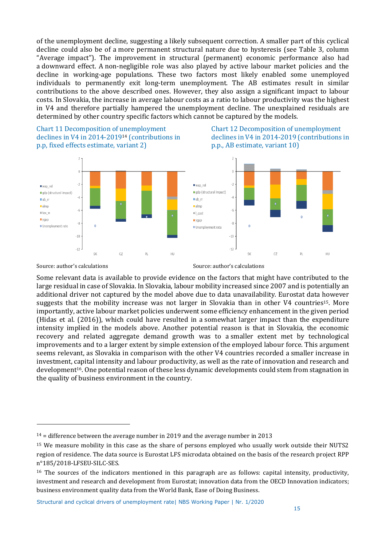of the unemployment decline, suggesting a likely subsequent correction. A smaller part of this cyclical decline could also be of a more permanent structural nature due to hysteresis (see Table 3, column "Average impact"). The improvement in structural (permanent) economic performance also had a downward effect. A non-negligible role was also played by active labour market policies and the decline in working-age populations. These two factors most likely enabled some unemployed individuals to permanently exit long-term unemployment. The AB estimates result in similar contributions to the above described ones. However, they also assign a significant impact to labour costs. In Slovakia, the increase in average labour costs as a ratio to labour productivity was the highest in V4 and therefore partially hampered the unemployment decline. The unexplained residuals are determined by other country specific factors which cannot be captured by the models.

Chart 11 Decomposition of unemployment Chart 12 Decomposition of unemployment declines in V4 in 2014-2019<sup>14</sup> (contributions in declines in V4 in 2014-2019 (contributions in p.p, fixed effects estimate, variant 2) p.p., AB estimate, variant 10)







Source: author's calculations and source: author's calculations source: author's calculations

Some relevant data is available to provide evidence on the factors that might have contributed to the large residual in case of Slovakia. In Slovakia, labour mobility increased since 2007 and is potentially an additional driver not captured by the model above due to data unavailability. Eurostat data however suggests that the mobility increase was not larger in Slovakia than in other V4 countries15. More importantly, active labour market policies underwent some efficiency enhancement in the given period (Hidas et al. (2016)), which could have resulted in a somewhat larger impact than the expenditure intensity implied in the models above. Another potential reason is that in Slovakia, the economic recovery and related aggregate demand growth was to a smaller extent met by technological improvements and to a larger extent by simple extension of the employed labour force. This argument seems relevant, as Slovakia in comparison with the other V4 countries recorded a smaller increase in investment, capital intensity and labour productivity, as well as the rate of innovation and research and development16. One potential reason of these less dynamic developments could stem from stagnation in the quality of business environment in the country.

 $14$  = difference between the average number in 2019 and the average number in 2013

<sup>15</sup> We measure mobility in this case as the share of persons employed who usually work outside their NUTS2 region of residence. The data source is Eurostat LFS microdata obtained on the basis of the research project RPP n°185/2018-LFSEU-SILC-SES.

<sup>&</sup>lt;sup>16</sup> The sources of the indicators mentioned in this paragraph are as follows: capital intensity, productivity, investment and research and development from Eurostat; innovation data from the OECD Innovation indicators; business environment quality data from the World Bank, Ease of Doing Business.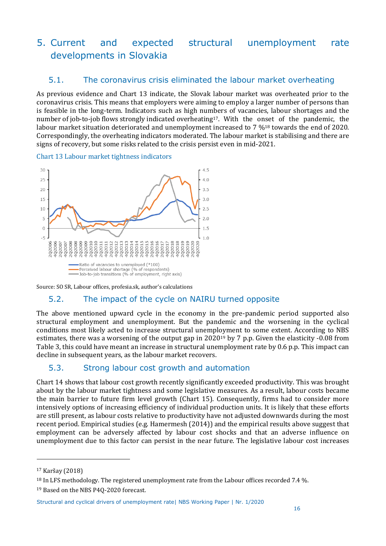## 5. Current and expected structural unemployment rate developments in Slovakia

## 5.1. The coronavirus crisis eliminated the labour market overheating

As previous evidence and Chart 13 indicate, the Slovak labour market was overheated prior to the coronavirus crisis. This means that employers were aiming to employ a larger number of persons than is feasible in the long-term. Indicators such as high numbers of vacancies, labour shortages and the number of job-to-job flows strongly indicated overheating17. With the onset of the pandemic, the labour market situation deteriorated and unemployment increased to 7 %<sup>18</sup> towards the end of 2020. Correspondingly, the overheating indicators moderated. The labour market is stabilising and there are signs of recovery, but some risks related to the crisis persist even in mid-2021.

Chart 13 Labour market tightness indicators



Source: SO SR, Labour offices, profesia.sk, author's calculations

## 5.2. The impact of the cycle on NAIRU turned opposite

The above mentioned upward cycle in the economy in the pre-pandemic period supported also structural employment and unemployment. But the pandemic and the worsening in the cyclical conditions most likely acted to increase structural unemployment to some extent. According to NBS estimates, there was a worsening of the output gap in 2020<sup>19</sup> by 7 p.p. Given the elasticity -0.08 from Table 3, this could have meant an increase in structural unemployment rate by 0.6 p.p. This impact can decline in subsequent years, as the labour market recovers.

## 5.3. Strong labour cost growth and automation

Chart 14 shows that labour cost growth recently significantly exceeded productivity. This was brought about by the labour market tightness and some legislative measures. As a result, labour costs became the main barrier to future firm level growth (Chart 15). Consequently, firms had to consider more intensively options of increasing efficiency of individual production units. It is likely that these efforts are still present, as labour costs relative to productivity have not adjusted downwards during the most recent period. Empirical studies (e.g. Hamermesh (2014)) and the empirical results above suggest that employment can be adversely affected by labour cost shocks and that an adverse influence on unemployment due to this factor can persist in the near future. The legislative labour cost increases

<sup>17</sup> Karšay (2018)

<sup>18</sup> In LFS methodology. The registered unemployment rate from the Labour offices recorded 7.4 %.

<sup>19</sup> Based on the NBS P4Q-2020 forecast.

Structural and cyclical drivers of unemployment rate| NBS Working Paper | Nr. 1/2020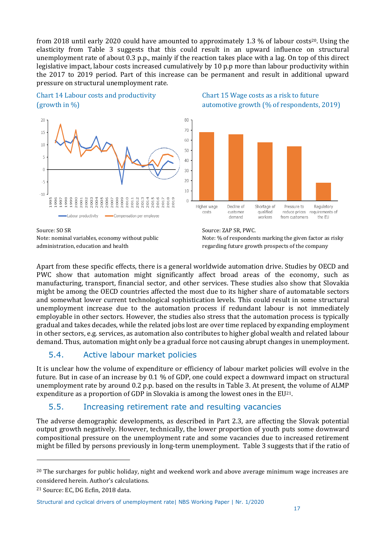from 2018 until early 2020 could have amounted to approximately 1.3 % of labour costs<sup>20</sup>. Using the elasticity from Table 3 suggests that this could result in an upward influence on structural unemployment rate of about 0.3 p.p., mainly if the reaction takes place with a lag. On top of this direct legislative impact, labour costs increased cumulatively by 10 p.p more than labour productivity within the 2017 to 2019 period. Part of this increase can be permanent and result in additional upward pressure on structural unemployment rate.





Source: SO SR Source: ZAP SR, PWC.







Apart from these specific effects, there is a general worldwide automation drive. Studies by OECD and PWC show that automation might significantly affect broad areas of the economy, such as manufacturing, transport, financial sector, and other services. These studies also show that Slovakia might be among the OECD countries affected the most due to its higher share of automatable sectors and somewhat lower current technological sophistication levels. This could result in some structural unemployment increase due to the automation process if redundant labour is not immediately employable in other sectors. However, the studies also stress that the automation process is typically gradual and takes decades, while the related jobs lost are over time replaced by expanding employment in other sectors, e.g. services, as automation also contributes to higher global wealth and related labour demand. Thus, automation might only be a gradual force not causing abrupt changes in unemployment.

## 5.4. Active labour market policies

It is unclear how the volume of expenditure or efficiency of labour market policies will evolve in the future. But in case of an increase by 0.1 % of GDP, one could expect a downward impact on structural unemployment rate by around 0.2 p.p. based on the results in Table 3. At present, the volume of ALMP expenditure as a proportion of GDP in Slovakia is among the lowest ones in the EU21.

## 5.5. Increasing retirement rate and resulting vacancies

The adverse demographic developments, as described in Part 2.3, are affecting the Slovak potential output growth negatively. However, technically, the lower proportion of youth puts some downward compositional pressure on the unemployment rate and some vacancies due to increased retirement might be filled by persons previously in long-term unemployment. Table 3 suggests that if the ratio of

<sup>&</sup>lt;sup>20</sup> The surcharges for public holiday, night and weekend work and above average minimum wage increases are considered herein. Author's calculations.

<sup>21</sup> Source: EC, DG Ecfin, 2018 data.

Structural and cyclical drivers of unemployment rate| NBS Working Paper | Nr. 1/2020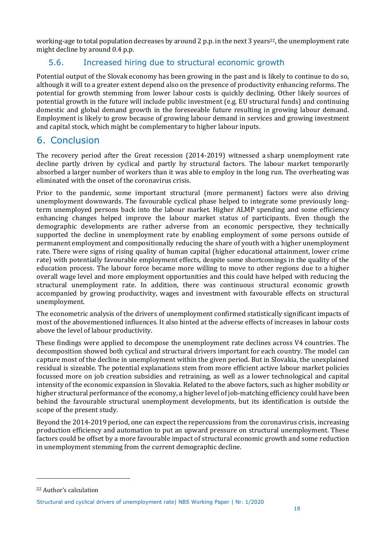working-age to total population decreases by around 2 p.p. in the next 3 years<sup>22</sup>, the unemployment rate might decline by around 0.4 p.p.

## 5.6. Increased hiring due to structural economic growth

Potential output of the Slovak economy has been growing in the past and is likely to continue to do so, although it will to a greater extent depend also on the presence of productivity enhancing reforms. The potential for growth stemming from lower labour costs is quickly declining. Other likely sources of potential growth in the future will include public investment (e.g. EU structural funds) and continuing domestic and global demand growth in the foreseeable future resulting in growing labour demand. Employment is likely to grow because of growing labour demand in services and growing investment and capital stock, which might be complementary to higher labour inputs.

## 6. Conclusion

The recovery period after the Great recession (2014-2019) witnessed a sharp unemployment rate decline partly driven by cyclical and partly by structural factors. The labour market temporarily absorbed a larger number of workers than it was able to employ in the long run. The overheating was eliminated with the onset of the coronavirus crisis.

Prior to the pandemic, some important structural (more permanent) factors were also driving unemployment downwards. The favourable cyclical phase helped to integrate some previously longterm unemployed persons back into the labour market. Higher ALMP spending and some efficiency enhancing changes helped improve the labour market status of participants. Even though the demographic developments are rather adverse from an economic perspective, they technically supported the decline in unemployment rate by enabling employment of some persons outside of permanent employment and compositionally reducing the share of youth with a higher unemployment rate. There were signs of rising quality of human capital (higher educational attainment, lower crime rate) with potentially favourable employment effects, despite some shortcomings in the quality of the education process. The labour force became more willing to move to other regions due to a higher overall wage level and more employment opportunities and this could have helped with reducing the structural unemployment rate. In addition, there was continuous structural economic growth accompanied by growing productivity, wages and investment with favourable effects on structural unemployment.

The econometric analysis of the drivers of unemployment confirmed statistically significant impacts of most of the abovementioned influences. It also hinted at the adverse effects of increases in labour costs above the level of labour productivity.

These findings were applied to decompose the unemployment rate declines across V4 countries. The decomposition showed both cyclical and structural drivers important for each country. The model can capture most of the decline in unemployment within the given period. But in Slovakia, the unexplained residual is sizeable. The potential explanations stem from more efficient active labour market policies focussed more on job creation subsidies and retraining, as well as a lower technological and capital intensity of the economic expansion in Slovakia. Related to the above factors, such as higher mobility or higher structural performance of the economy, a higher level of job-matching efficiency could have been behind the favourable structural unemployment developments, but its identification is outside the scope of the present study.

Beyond the 2014-2019 period, one can expect the repercussions from the coronavirus crisis, increasing production efficiency and automation to put an upward pressure on structural unemployment. These factors could be offset by a more favourable impact of structural economic growth and some reduction in unemployment stemming from the current demographic decline.

<sup>22</sup> Author's calculation

Structural and cyclical drivers of unemployment rate| NBS Working Paper | Nr. 1/2020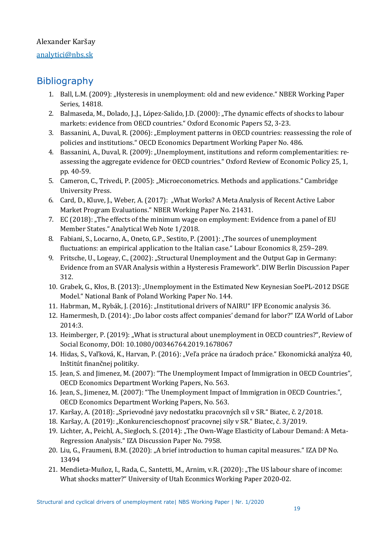## Alexander Karšay

### [analytici@nbs.sk](mailto:analytici@nbs.sk)

## **Bibliography**

- 1. Ball, L.M. (2009): "Hysteresis in unemployment: old and new evidence." NBER Working Paper Series, 14818.
- 2. Balmaseda, M., Dolado, J.,J., López-Salido, J.D. (2000): "The dynamic effects of shocks to labour markets: evidence from OECD countries." Oxford Economic Papers 52, 3-23.
- 3. Bassanini, A., Duval, R. (2006): "Employment patterns in OECD countries: reassessing the role of policies and institutions." OECD Economics Department Working Paper No. 486.
- 4. Bassanini, A., Duval, R. (2009): "Unemployment, institutions and reform complementarities: reassessing the aggregate evidence for OECD countries." Oxford Review of Economic Policy 25, 1, pp. 40-59.
- 5. Cameron, C., Trivedi, P. (2005): "Microeconometrics. Methods and applications." Cambridge University Press.
- 6. Card, D., Kluve, J., Weber, A. (2017): "What Works? A Meta Analysis of Recent Active Labor Market Program Evaluations." NBER Working Paper No. 21431.
- 7. EC (2018): "The effects of the minimum wage on employment: Evidence from a panel of EU Member States." Analytical Web Note 1/2018.
- 8. Fabiani, S., Locarno, A., Oneto, G.P., Sestito, P. (2001): "The sources of unemployment fluctuations: an empirical application to the Italian case." Labour Economics 8, 259–289.
- 9. Fritsche, U., Logeay, C., (2002): "Structural Unemployment and the Output Gap in Germany: Evidence from an SVAR Analysis within a Hysteresis Framework". DIW Berlin Discussion Paper 312.
- 10. Grabek, G., Kłos, B. (2013): "Unemployment in the Estimated New Keynesian SoePL-2012 DSGE Model." National Bank of Poland Working Paper No. 144.
- 11. Habrman, M., Rybák, J. (2016): "Institutional drivers of NAIRU" IFP Economic analysis 36.
- 12. Hamermesh, D. (2014): "Do labor costs affect companies' demand for labor?" IZA World of Labor 2014:3.
- 13. Heimberger, P. (2019): "What is structural about unemployment in OECD countries?", Review of Social Economy, DOI: 10.1080/00346764.2019.1678067
- 14. Hidas, S., Vaľková, K., Harvan, P. (2016): "Veľa práce na úradoch práce." Ekonomická analýza 40, Inštitút finančnej politiky.
- 15. Jean, S. and Jimenez, M. (2007): "The Unemployment Impact of Immigration in OECD Countries", OECD Economics Department Working Papers, No. 563.
- 16. Jean, S., Jimenez, M. (2007): "The Unemployment Impact of Immigration in OECD Countries.", OECD Economics Department Working Papers, No. 563.
- 17. Karšay, A. (2018): "Sprievodné javy nedostatku pracovných síl v SR." Biatec, č. 2/2018.
- 18. Karšay, A. (2019): "Konkurencieschopnosť pracovnej sily v SR." Biatec, č. 3/2019.
- 19. Lichter, A., Peichl, A., Siegloch, S. (2014): "The Own-Wage Elasticity of Labour Demand: A Meta-Regression Analysis." IZA Discussion Paper No. 7958.
- 20. Liu, G., Fraumeni, B.M. (2020): "A brief introduction to human capital measures." IZA DP No. 13494
- 21. Mendieta-Muñoz, I., Rada, C., Santetti, M., Arnim, v.R. (2020): "The US labour share of income: What shocks matter?" University of Utah Econmics Working Paper 2020-02.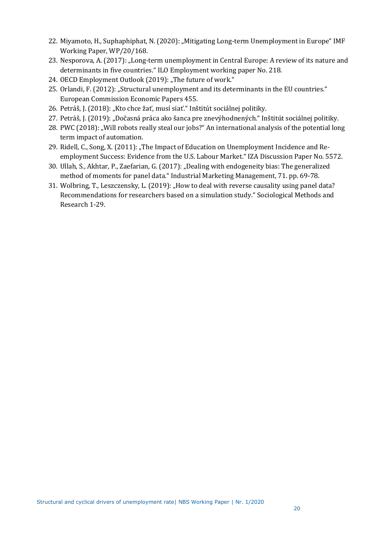- 22. Miyamoto, H., Suphaphiphat, N. (2020): "Mitigating Long-term Unemployment in Europe" IMF Working Paper, WP/20/168.
- 23. Nesporova, A. (2017): "Long-term unemployment in Central Europe: A review of its nature and determinants in five countries." ILO Employment working paper No. 218.
- 24. OECD Employment Outlook (2019): "The future of work."
- 25. Orlandi, F. (2012): "Structural unemployment and its determinants in the EU countries." European Commission Economic Papers 455.
- 26. Petráš, J. (2018): "Kto chce žať, musí siať." Inštitút sociálnej politiky.
- 27. Petráš, J. (2019): "Dočasná práca ako šanca pre znevýhodnených." Inštitút sociálnej politiky.
- 28. PWC (2018): "Will robots really steal our jobs?" An international analysis of the potential long term impact of automation.
- 29. Ridell, C., Song, X. (2011): "The Impact of Education on Unemployment Incidence and Reemployment Success: Evidence from the U.S. Labour Market." IZA Discussion Paper No. 5572.
- 30. Ullah, S., Akhtar, P., Zaefarian, G. (2017): "Dealing with endogeneity bias: The generalized method of moments for panel data." Industrial Marketing Management, 71. pp. 69-78.
- 31. Wolbring, T., Leszczensky, L. (2019): "How to deal with reverse causality using panel data? Recommendations for researchers based on a simulation study." Sociological Methods and Research 1-29.